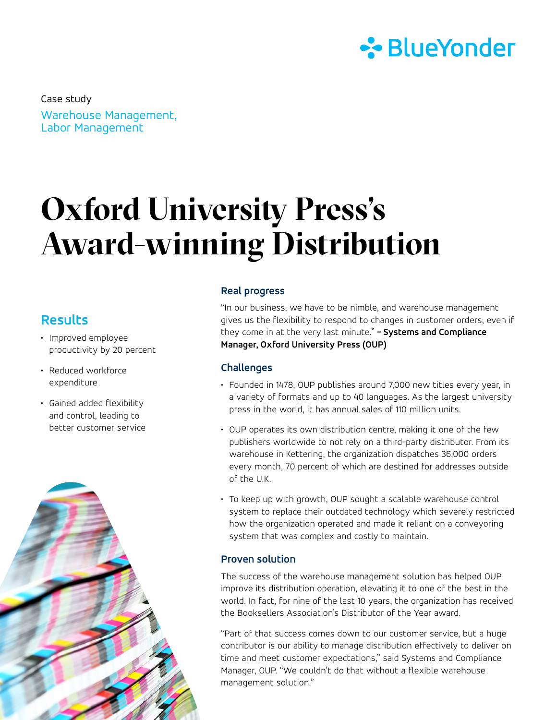

Warehouse Management, Labor Management Case study

# **Oxford University Press's Award-winning Distribution**

# **Results**

- Improved employee productivity by 20 percent
- Reduced workforce expenditure
- Gained added flexibility and control, leading to better customer service



### **Real progress**

"In our business, we have to be nimble, and warehouse management gives us the flexibility to respond to changes in customer orders, even if they come in at the very last minute." **- Systems and Compliance Manager, Oxford University Press (OUP)**

## **Challenges**

- Founded in 1478, OUP publishes around 7,000 new titles every year, in a variety of formats and up to 40 languages. As the largest university press in the world, it has annual sales of 110 million units.
- OUP operates its own distribution centre, making it one of the few publishers worldwide to not rely on a third-party distributor. From its warehouse in Kettering, the organization dispatches 36,000 orders every month, 70 percent of which are destined for addresses outside of the U.K.
- To keep up with growth, OUP sought a scalable warehouse control system to replace their outdated technology which severely restricted how the organization operated and made it reliant on a conveyoring system that was complex and costly to maintain.

#### **Proven solution**

The success of the warehouse management solution has helped OUP improve its distribution operation, elevating it to one of the best in the world. In fact, for nine of the last 10 years, the organization has received the Booksellers Association's Distributor of the Year award.

"Part of that success comes down to our customer service, but a huge contributor is our ability to manage distribution effectively to deliver on time and meet customer expectations," said Systems and Compliance Manager, OUP. "We couldn't do that without a flexible warehouse management solution."